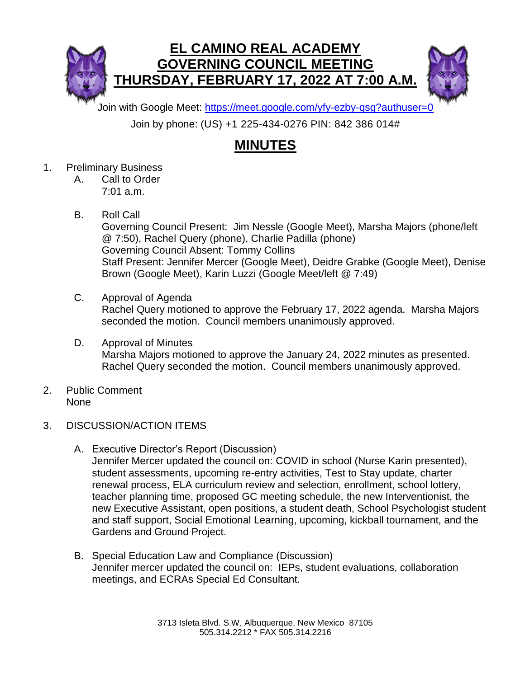



Join with Google Meet:<https://meet.google.com/yfy-ezby-qsg?authuser=0>

Join by phone: (US) +1 225-434-0276 PIN: 842 386 014#

## **MINUTES**

- 1. Preliminary Business
	- A. Call to Order 7:01 a.m.
	- B. Roll Call

Governing Council Present: Jim Nessle (Google Meet), Marsha Majors (phone/left @ 7:50), Rachel Query (phone), Charlie Padilla (phone) Governing Council Absent: Tommy Collins Staff Present: Jennifer Mercer (Google Meet), Deidre Grabke (Google Meet), Denise Brown (Google Meet), Karin Luzzi (Google Meet/left @ 7:49)

- C. Approval of Agenda Rachel Query motioned to approve the February 17, 2022 agenda. Marsha Majors seconded the motion. Council members unanimously approved.
- D. Approval of Minutes Marsha Majors motioned to approve the January 24, 2022 minutes as presented. Rachel Query seconded the motion. Council members unanimously approved.
- 2. Public Comment None
- 3. DISCUSSION/ACTION ITEMS
	- A. Executive Director's Report (Discussion) Jennifer Mercer updated the council on: COVID in school (Nurse Karin presented), student assessments, upcoming re-entry activities, Test to Stay update, charter renewal process, ELA curriculum review and selection, enrollment, school lottery, teacher planning time, proposed GC meeting schedule, the new Interventionist, the new Executive Assistant, open positions, a student death, School Psychologist student and staff support, Social Emotional Learning, upcoming, kickball tournament, and the Gardens and Ground Project.
	- B. Special Education Law and Compliance (Discussion) Jennifer mercer updated the council on: IEPs, student evaluations, collaboration meetings, and ECRAs Special Ed Consultant.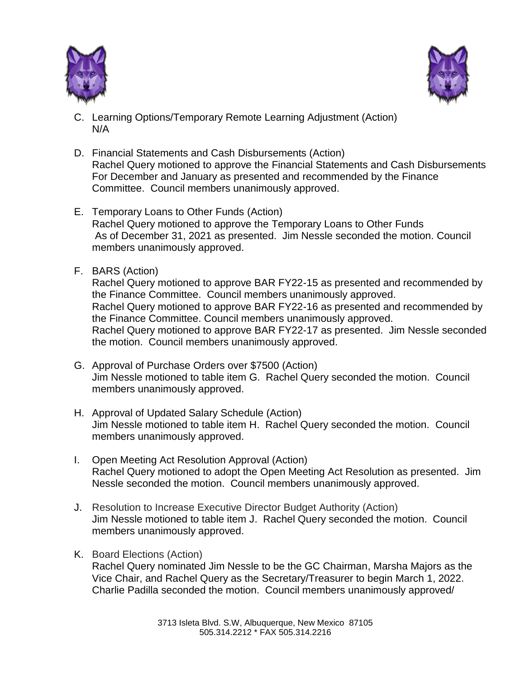



- C. Learning Options/Temporary Remote Learning Adjustment (Action) N/A
- D. Financial Statements and Cash Disbursements (Action) Rachel Query motioned to approve the Financial Statements and Cash Disbursements For December and January as presented and recommended by the Finance Committee. Council members unanimously approved.
- E. Temporary Loans to Other Funds (Action) Rachel Query motioned to approve the Temporary Loans to Other Funds As of December 31, 2021 as presented. Jim Nessle seconded the motion. Council members unanimously approved.
- F. BARS (Action)

Rachel Query motioned to approve BAR FY22-15 as presented and recommended by the Finance Committee. Council members unanimously approved. Rachel Query motioned to approve BAR FY22-16 as presented and recommended by the Finance Committee. Council members unanimously approved. Rachel Query motioned to approve BAR FY22-17 as presented. Jim Nessle seconded the motion. Council members unanimously approved.

- G. Approval of Purchase Orders over \$7500 (Action) Jim Nessle motioned to table item G. Rachel Query seconded the motion. Council members unanimously approved.
- H. Approval of Updated Salary Schedule (Action) Jim Nessle motioned to table item H. Rachel Query seconded the motion. Council members unanimously approved.
- I. Open Meeting Act Resolution Approval (Action) Rachel Query motioned to adopt the Open Meeting Act Resolution as presented. Jim Nessle seconded the motion. Council members unanimously approved.
- J. Resolution to Increase Executive Director Budget Authority (Action) Jim Nessle motioned to table item J. Rachel Query seconded the motion. Council members unanimously approved.
- K. Board Elections (Action)

Rachel Query nominated Jim Nessle to be the GC Chairman, Marsha Majors as the Vice Chair, and Rachel Query as the Secretary/Treasurer to begin March 1, 2022. Charlie Padilla seconded the motion. Council members unanimously approved/